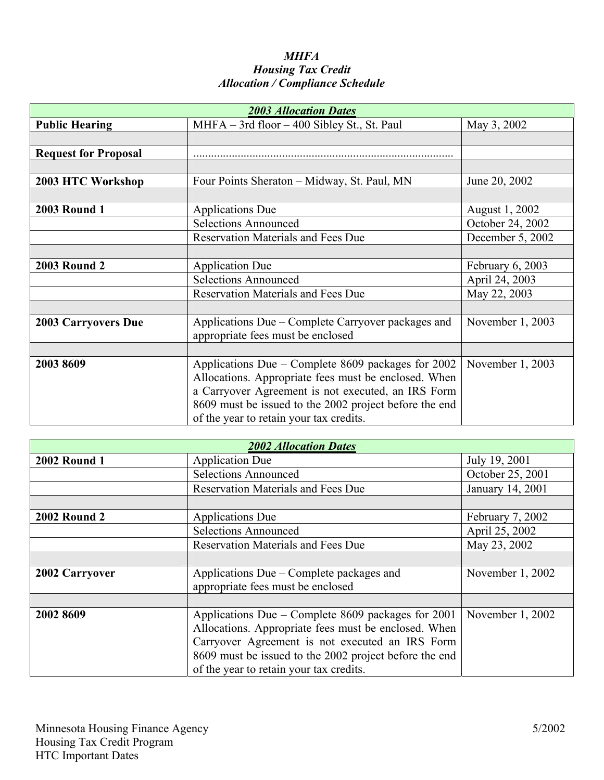## *MHFA Housing Tax Credit Allocation / Compliance Schedule*

| <b>2003 Allocation Dates</b> |                                                                                                                                                                                                                                                                       |                  |  |  |
|------------------------------|-----------------------------------------------------------------------------------------------------------------------------------------------------------------------------------------------------------------------------------------------------------------------|------------------|--|--|
| <b>Public Hearing</b>        | $MHFA - 3rd$ floor $-400$ Sibley St., St. Paul                                                                                                                                                                                                                        | May 3, 2002      |  |  |
|                              |                                                                                                                                                                                                                                                                       |                  |  |  |
| <b>Request for Proposal</b>  |                                                                                                                                                                                                                                                                       |                  |  |  |
|                              |                                                                                                                                                                                                                                                                       |                  |  |  |
| 2003 HTC Workshop            | Four Points Sheraton - Midway, St. Paul, MN                                                                                                                                                                                                                           | June 20, 2002    |  |  |
|                              |                                                                                                                                                                                                                                                                       |                  |  |  |
| <b>2003 Round 1</b>          | <b>Applications Due</b>                                                                                                                                                                                                                                               | August 1, 2002   |  |  |
|                              | <b>Selections Announced</b>                                                                                                                                                                                                                                           | October 24, 2002 |  |  |
|                              | <b>Reservation Materials and Fees Due</b>                                                                                                                                                                                                                             | December 5, 2002 |  |  |
|                              |                                                                                                                                                                                                                                                                       |                  |  |  |
| <b>2003 Round 2</b>          | <b>Application Due</b>                                                                                                                                                                                                                                                | February 6, 2003 |  |  |
|                              | <b>Selections Announced</b>                                                                                                                                                                                                                                           | April 24, 2003   |  |  |
|                              | <b>Reservation Materials and Fees Due</b>                                                                                                                                                                                                                             | May 22, 2003     |  |  |
|                              |                                                                                                                                                                                                                                                                       |                  |  |  |
| <b>2003 Carryovers Due</b>   | Applications Due – Complete Carryover packages and<br>appropriate fees must be enclosed                                                                                                                                                                               | November 1, 2003 |  |  |
|                              |                                                                                                                                                                                                                                                                       |                  |  |  |
| 2003 8609                    | Applications Due – Complete 8609 packages for 2002<br>Allocations. Appropriate fees must be enclosed. When<br>a Carryover Agreement is not executed, an IRS Form<br>8609 must be issued to the 2002 project before the end<br>of the year to retain your tax credits. | November 1, 2003 |  |  |

| <b>2002 Allocation Dates</b> |                                                                                                                                                                                                                                                                    |                  |  |
|------------------------------|--------------------------------------------------------------------------------------------------------------------------------------------------------------------------------------------------------------------------------------------------------------------|------------------|--|
| <b>2002 Round 1</b>          | <b>Application Due</b>                                                                                                                                                                                                                                             | July 19, 2001    |  |
|                              | <b>Selections Announced</b>                                                                                                                                                                                                                                        | October 25, 2001 |  |
|                              | <b>Reservation Materials and Fees Due</b>                                                                                                                                                                                                                          | January 14, 2001 |  |
|                              |                                                                                                                                                                                                                                                                    |                  |  |
| <b>2002 Round 2</b>          | <b>Applications Due</b>                                                                                                                                                                                                                                            | February 7, 2002 |  |
|                              | <b>Selections Announced</b>                                                                                                                                                                                                                                        | April 25, 2002   |  |
|                              | <b>Reservation Materials and Fees Due</b>                                                                                                                                                                                                                          | May 23, 2002     |  |
|                              |                                                                                                                                                                                                                                                                    |                  |  |
| 2002 Carryover               | Applications Due – Complete packages and<br>appropriate fees must be enclosed                                                                                                                                                                                      | November 1, 2002 |  |
|                              |                                                                                                                                                                                                                                                                    |                  |  |
| 2002 8609                    | Applications Due – Complete 8609 packages for 2001<br>Allocations. Appropriate fees must be enclosed. When<br>Carryover Agreement is not executed an IRS Form<br>8609 must be issued to the 2002 project before the end<br>of the year to retain your tax credits. | November 1, 2002 |  |